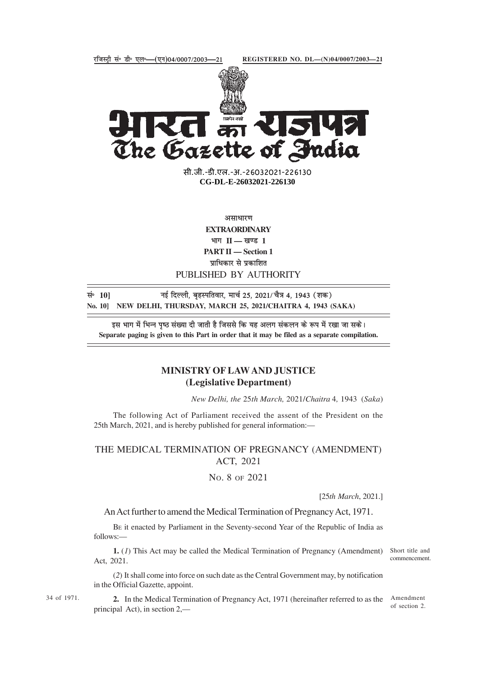

केले 15142 The Gazette of India

> सी.जी.-डी.एल.-अ.-26032021-226130<br>' **xxxGIDExxx CG-DL-E-26032021-226130**

> > असाधारण

**EXTRAORDINARY** भाग II — खण्ड 1 **PART II — Section 1** प्राधिकार से प्रकाशित PUBLISHED BY AUTHORITY

सं॰ 10] <sub>नई</sub> दिल्ली, बृहस्पतिवार, मार्च 25, 2021/ चैत्र 4, 1943 (शक) **No. 10] NEW DELHI, THURSDAY, MARCH 25, 2021/CHAITRA 4, 1943 (SAKA)**

इस भाग में भिन्न पृष्ठ संख्या दी जाती है जिससे कि यह अलग संकलन के रूप में रखा जा सके। **Separate paging is given to this Part in order that it may be filed as a separate compilation.**

## **MINISTRY OF LAW AND JUSTICE (Legislative Department)**

*New Delhi, the* 25*th March,* 2021/*Chaitra* 4*,* 1943 (*Saka*)

The following Act of Parliament received the assent of the President on the 25th March, 2021, and is hereby published for general information:—

## THE MEDICAL TERMINATION OF PREGNANCY (AMENDMENT) ACT, 2021

NO. 8 OF 2021

[25*th March*, 2021.]

An Act further to amend the Medical Termination of Pregnancy Act, 1971.

BE it enacted by Parliament in the Seventy-second Year of the Republic of India as follows:—

1. (1) This Act may be called the Medical Termination of Pregnancy (Amendment) Short title and Act, 2021.

commencement.

(*2*) It shall come into force on such date as the Central Government may, by notification in the Official Gazette, appoint.

34 of 1971.

**2.** In the Medical Termination of Pregnancy Act, 1971 (hereinafter referred to as the Amendment principal Act), in section 2,—

of section 2.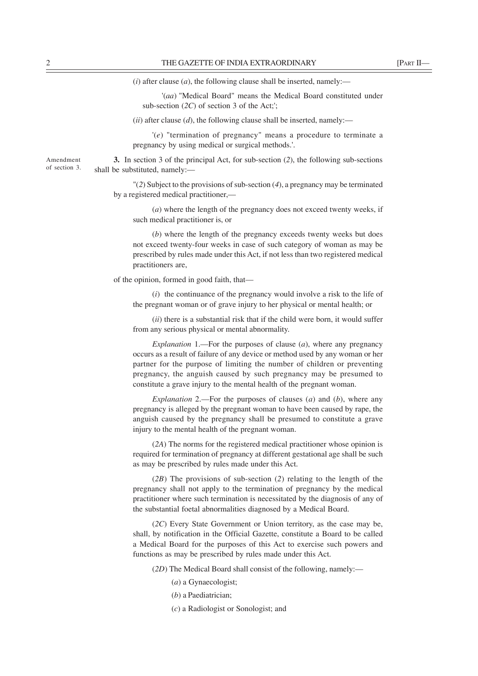$(i)$  after clause  $(a)$ , the following clause shall be inserted, namely:—

'(*aa*) "Medical Board" means the Medical Board constituted under sub-section (*2C*) of section 3 of the Act;';

 $(iii)$  after clause  $(d)$ , the following clause shall be inserted, namely:—

'(*e*) "termination of pregnancy" means a procedure to terminate a pregnancy by using medical or surgical methods.'.

**3.** In section 3 of the principal Act, for sub-section (*2*), the following sub-sections shall be substituted, namely:—

"(*2*) Subject to the provisions of sub-section (*4*), a pregnancy may be terminated by a registered medical practitioner,—

(*a*) where the length of the pregnancy does not exceed twenty weeks, if such medical practitioner is, or

(*b*) where the length of the pregnancy exceeds twenty weeks but does not exceed twenty-four weeks in case of such category of woman as may be prescribed by rules made under this Act, if not less than two registered medical practitioners are,

of the opinion, formed in good faith, that—

(*i*) the continuance of the pregnancy would involve a risk to the life of the pregnant woman or of grave injury to her physical or mental health; or

(*ii*) there is a substantial risk that if the child were born, it would suffer from any serious physical or mental abnormality.

*Explanation* 1.—For the purposes of clause (*a*), where any pregnancy occurs as a result of failure of any device or method used by any woman or her partner for the purpose of limiting the number of children or preventing pregnancy, the anguish caused by such pregnancy may be presumed to constitute a grave injury to the mental health of the pregnant woman.

*Explanation* 2.—For the purposes of clauses (*a*) and (*b*), where any pregnancy is alleged by the pregnant woman to have been caused by rape, the anguish caused by the pregnancy shall be presumed to constitute a grave injury to the mental health of the pregnant woman.

(*2A*) The norms for the registered medical practitioner whose opinion is required for termination of pregnancy at different gestational age shall be such as may be prescribed by rules made under this Act.

(*2B*) The provisions of sub-section (*2*) relating to the length of the pregnancy shall not apply to the termination of pregnancy by the medical practitioner where such termination is necessitated by the diagnosis of any of the substantial foetal abnormalities diagnosed by a Medical Board.

(*2C*) Every State Government or Union territory, as the case may be, shall, by notification in the Official Gazette, constitute a Board to be called a Medical Board for the purposes of this Act to exercise such powers and functions as may be prescribed by rules made under this Act.

(*2D*) The Medical Board shall consist of the following, namely:—

- (*a*) a Gynaecologist;
- (*b*) a Paediatrician;
- (*c*) a Radiologist or Sonologist; and

Amendment of section 3.